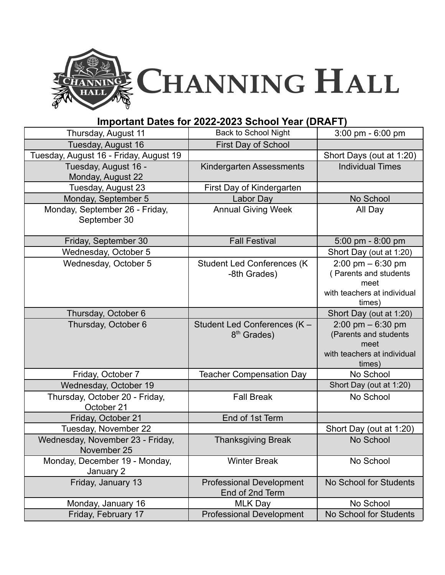

## **Important Dates for 2022-2023 School Year (DRAFT)**

| Thursday, August 11                             | <b>Back to School Night</b>                             | 3:00 pm - 6:00 pm                                                                                             |
|-------------------------------------------------|---------------------------------------------------------|---------------------------------------------------------------------------------------------------------------|
| Tuesday, August 16                              | <b>First Day of School</b>                              |                                                                                                               |
| Tuesday, August 16 - Friday, August 19          |                                                         | Short Days (out at 1:20)                                                                                      |
| Tuesday, August 16 -<br>Monday, August 22       | Kindergarten Assessments                                | <b>Individual Times</b>                                                                                       |
| Tuesday, August 23                              | First Day of Kindergarten                               |                                                                                                               |
| Monday, September 5                             | Labor Day                                               | No School                                                                                                     |
| Monday, September 26 - Friday,<br>September 30  | <b>Annual Giving Week</b>                               | All Day                                                                                                       |
| Friday, September 30                            | <b>Fall Festival</b>                                    | $5:00 \text{ pm} - 8:00 \text{ pm}$                                                                           |
| Wednesday, October 5                            |                                                         | Short Day (out at 1:20)                                                                                       |
| Wednesday, October 5                            | <b>Student Led Conferences (K)</b><br>-8th Grades)      | $2:00 \text{ pm} - 6:30 \text{ pm}$<br>(Parents and students<br>meet<br>with teachers at individual<br>times) |
| Thursday, October 6                             |                                                         | Short Day (out at 1:20)                                                                                       |
| Thursday, October 6                             | Student Led Conferences (K -<br>8 <sup>th</sup> Grades) | $2:00$ pm $-6:30$ pm<br>(Parents and students<br>meet<br>with teachers at individual<br>times)                |
| Friday, October 7                               | <b>Teacher Compensation Day</b>                         | No School                                                                                                     |
| Wednesday, October 19                           |                                                         | Short Day (out at 1:20)                                                                                       |
| Thursday, October 20 - Friday,<br>October 21    | <b>Fall Break</b>                                       | No School                                                                                                     |
| Friday, October 21                              | End of 1st Term                                         |                                                                                                               |
| Tuesday, November 22                            |                                                         | Short Day (out at 1:20)                                                                                       |
| Wednesday, November 23 - Friday,<br>November 25 | <b>Thanksgiving Break</b>                               | No School                                                                                                     |
| Monday, December 19 - Monday,<br>January 2      | <b>Winter Break</b>                                     | No School                                                                                                     |
| Friday, January 13                              | <b>Professional Development</b><br>End of 2nd Term      | No School for Students                                                                                        |
| Monday, January 16                              | <b>MLK Day</b>                                          | No School                                                                                                     |
| Friday, February 17                             | <b>Professional Development</b>                         | No School for Students                                                                                        |